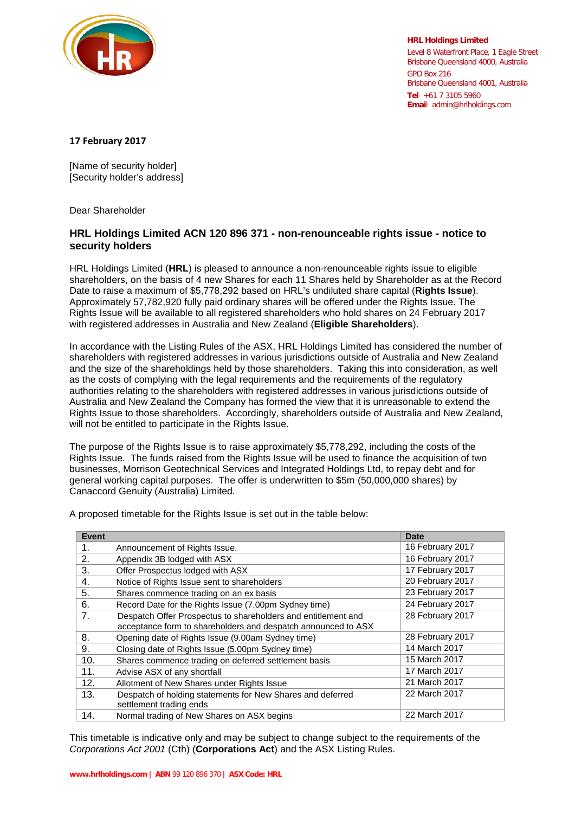

**HRL Holdings Limited** Level 8 Waterfront Place, 1 Eagle Street Brisbane Queensland 4000, Australia GPO Box 216 Brisbane Queensland 4001, Australia **Tel** +61 7 3105 5960 **Emai**l admin@hrlholdings.com

## **17 February 2017**

[Name of security holder] [Security holder's address]

Dear Shareholder

## **HRL Holdings Limited ACN 120 896 371 - non-renounceable rights issue - notice to security holders**

HRL Holdings Limited (**HRL**) is pleased to announce a non-renounceable rights issue to eligible shareholders, on the basis of 4 new Shares for each 11 Shares held by Shareholder as at the Record Date to raise a maximum of \$5,778,292 based on HRL's undiluted share capital (**Rights Issue**). Approximately 57,782,920 fully paid ordinary shares will be offered under the Rights Issue. The Rights Issue will be available to all registered shareholders who hold shares on 24 February 2017 with registered addresses in Australia and New Zealand (**Eligible Shareholders**).

In accordance with the Listing Rules of the ASX, HRL Holdings Limited has considered the number of shareholders with registered addresses in various jurisdictions outside of Australia and New Zealand and the size of the shareholdings held by those shareholders. Taking this into consideration, as well as the costs of complying with the legal requirements and the requirements of the regulatory authorities relating to the shareholders with registered addresses in various jurisdictions outside of Australia and New Zealand the Company has formed the view that it is unreasonable to extend the Rights Issue to those shareholders. Accordingly, shareholders outside of Australia and New Zealand, will not be entitled to participate in the Rights Issue.

The purpose of the Rights Issue is to raise approximately \$5,778,292, including the costs of the Rights Issue. The funds raised from the Rights Issue will be used to finance the acquisition of two businesses, Morrison Geotechnical Services and Integrated Holdings Ltd, to repay debt and for general working capital purposes. The offer is underwritten to \$5m (50,000,000 shares) by Canaccord Genuity (Australia) Limited.

A proposed timetable for the Rights Issue is set out in the table below:

| <b>Event</b> |                                                               | <b>Date</b>      |
|--------------|---------------------------------------------------------------|------------------|
| 1.           | Announcement of Rights Issue.                                 | 16 February 2017 |
| 2.           | Appendix 3B lodged with ASX                                   | 16 February 2017 |
| 3.           | Offer Prospectus lodged with ASX                              | 17 February 2017 |
| 4.           | Notice of Rights Issue sent to shareholders                   | 20 February 2017 |
| 5.           | Shares commence trading on an ex basis                        | 23 February 2017 |
| 6.           | Record Date for the Rights Issue (7.00pm Sydney time)         | 24 February 2017 |
| 7.           | Despatch Offer Prospectus to shareholders and entitlement and | 28 February 2017 |
|              | acceptance form to shareholders and despatch announced to ASX |                  |
| 8.           | Opening date of Rights Issue (9.00am Sydney time)             | 28 February 2017 |
| 9.           | Closing date of Rights Issue (5.00pm Sydney time)             | 14 March 2017    |
| 10.          | Shares commence trading on deferred settlement basis          | 15 March 2017    |
| 11.          | Advise ASX of any shortfall                                   | 17 March 2017    |
| 12.          | Allotment of New Shares under Rights Issue                    | 21 March 2017    |
| 13.          | Despatch of holding statements for New Shares and deferred    | 22 March 2017    |
|              | settlement trading ends                                       |                  |
| 14.          | Normal trading of New Shares on ASX begins                    | 22 March 2017    |

This timetable is indicative only and may be subject to change subject to the requirements of the *Corporations Act 2001* (Cth) (**Corporations Act**) and the ASX Listing Rules.